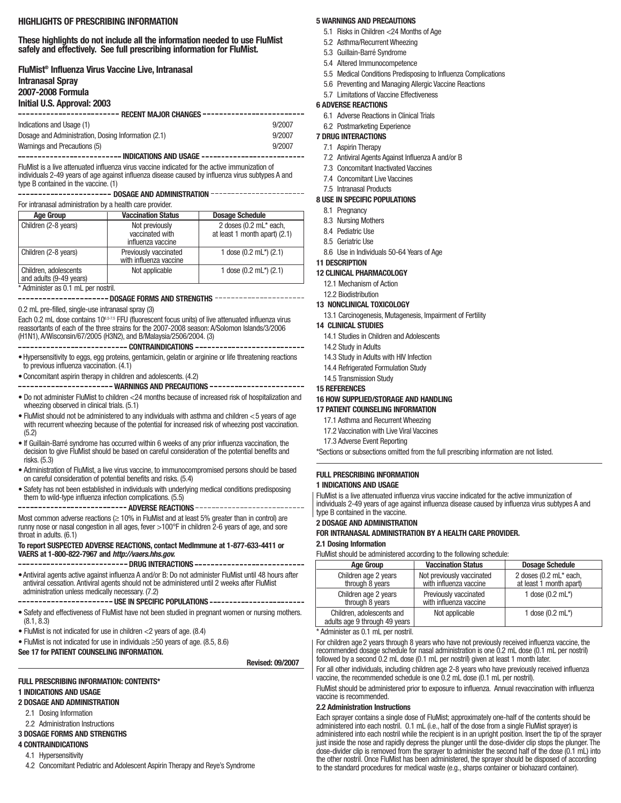### **HIGHLIGHTS OF PRESCRIBING INFORMATION**

### **These highlights do not include all the information needed to use FluMist safely and effectively. See full prescribing information for FluMist.**

| FluMist <sup>®</sup> Influenza Virus Vaccine Live, Intranasal                    |        |
|----------------------------------------------------------------------------------|--------|
| <b>Intranasal Spray</b>                                                          |        |
| 2007-2008 Formula                                                                |        |
| Initial U.S. Approval: 2003                                                      |        |
|                                                                                  |        |
| Indications and Usage (1)                                                        | 9/2007 |
| Dosage and Administration, Dosing Information (2.1)                              | 9/2007 |
| Warnings and Precautions (5)                                                     | 9/2007 |
| ------------------------        INDICATIONS AND USAGE    ----------------------- |        |
| .                                                                                |        |

FluMist is a live attenuated influenza virus vaccine indicated for the active immunization of individuals 2-49 years of age against influenza disease caused by influenza virus subtypes A and type B contained in the vaccine. (1)

# -------------------- DOSAGE AND ADMINISTRATION ----------------------

### For intranasal administration by a health care provider.

| <b>Age Group</b>                                 | <b>Vaccination Status</b>                              | <b>Dosage Schedule</b>                                  |
|--------------------------------------------------|--------------------------------------------------------|---------------------------------------------------------|
| Children (2-8 years)                             | Not previously<br>vaccinated with<br>influenza vaccine | 2 doses (0.2 mL* each,<br>at least 1 month apart) (2.1) |
| Children (2-8 years)                             | Previously vaccinated<br>with influenza vaccine        | 1 dose $(0.2 \text{ mL}^*)$ $(2.1)$                     |
| Children, adolescents<br>and adults (9-49 years) | Not applicable                                         | 1 dose $(0.2 \text{ mL}^*)$ $(2.1)$                     |

\* Administer as 0.1 mL per nostril.

---------------------- DOSAGE FORMS AND STRENGTHS ----------------------

### 0.2 mL pre-filled, single-use intranasal spray (3)

Each 0.2 mL dose contains 10<sup>6.57.5</sup> FFU (fluorescent focus units) of live attenuated influenza virus reassortants of each of the three strains for the 2007-2008 season: A/Solomon Islands/3/2006 (H1N1), A/Wisconsin/67/2005 (H3N2), and B/Malaysia/2506/2004. (3)

#### **CONTRAINDICATIONS**

- •Hypersensitivity to eggs, egg proteins, gentamicin, gelatin or arginine or life threatening reactions to previous influenza vaccination. (4.1)
- •Concomitant aspirin therapy in children and adolescents. (4.2)

---------------------- WARNINGS AND PRECAUTIONS -----------------------

- Do not administer FluMist to children <24 months because of increased risk of hospitalization and wheezing observed in clinical trials. (5.1)
- FluMist should not be administered to any individuals with asthma and children <5 years of age with recurrent wheezing because of the potential for increased risk of wheezing post vaccination. (5.2)
- If Guillain-Barré syndrome has occurred within 6 weeks of any prior influenza vaccination, the decision to give FluMist should be based on careful consideration of the potential benefits and risks. (5.3)
- Administration of FluMist, a live virus vaccine, to immunocompromised persons should be based on careful consideration of potential benefits and risks. (5.4)
- Safety has not been established in individuals with underlying medical conditions predisposing them to wild-type influenza infection complications. (5.5)

**ADVERSE REACTIONS**

Most common adverse reactions  $(≥ 10%$  in FluMist and at least 5% greater than in control) are runny nose or nasal congestion in all ages, fever >100°F in children 2-6 years of age, and sore throat in adults. (6.1)

#### **To report SUSPECTED ADVERSE REACTIONS, contact MedImmune at 1-877-633-4411 or VAERS at 1-800-822-7967 and** *http://vaers.hhs.gov.*

-------------------------- DRUG INTERACTIONS ---------------------------•Antiviral agents active against influenza A and/or B: Do not administer FluMist until 48 hours after antiviral cessation. Antiviral agents should not be administered until 2 weeks after FluMist

administration unless medically necessary. (7.2) ---------------------- USE IN SPECIFIC POPULATIONS -----------------------

- Safety and effectiveness of FluMist have not been studied in pregnant women or nursing mothers. (8.1, 8.3)
- FluMist is not indicated for use in children <2 years of age. (8.4)
- FluMist is not indicated for use in individuals ≥50 years of age. (8.5, 8.6)

# **See 17 for PATIENT COUNSELING INFORMATION.**

**Revised: 09/2007**

### **FULL PRESCRIBING INFORMATION: CONTENTS\***

### **1 INDICATIONS AND USAGE**

# **2 DOSAGE AND ADMINISTRATION**

- 2.1 Dosing Information
- 2.2 Administration Instructions

# **3 DOSAGE FORMS AND STRENGTHS**

**4 CONTRAINDICATIONS**

# 4.1 Hypersensitivity

4.2 Concomitant Pediatric and Adolescent Aspirin Therapy and Reye's Syndrome

### **5 WARNINGS AND PRECAUTIONS**

- 5.1 Risks in Children <24 Months of Age
- 5.2 Asthma/Recurrent Wheezing
- 5.3 Guillain-Barré Syndrome
- 5.4 Altered Immunocompetence
- 5.5 Medical Conditions Predisposing to Influenza Complications
- 5.6 Preventing and Managing Allergic Vaccine Reactions
- 5.7 Limitations of Vaccine Effectiveness

## **6 ADVERSE REACTIONS**

- 6.1 Adverse Reactions in Clinical Trials
- 6.2 Postmarketing Experience

### **7 DRUG INTERACTIONS**

### 7.1 Aspirin Therapy

- 7.2 Antiviral Agents Against Influenza A and/or B
- 7.3 Concomitant Inactivated Vaccines
- 7.4 Concomitant Live Vaccines
- 7.5 Intranasal Products

### **8 USE IN SPECIFIC POPULATIONS**

- 8.1 Pregnancy
- 8.3 Nursing Mothers
- 8.4 Pediatric Use
- 8.5 Geriatric Use
- 8.6 Use in Individuals 50-64 Years of Age

# **11 DESCRIPTION**

# **12 CLINICAL PHARMACOLOGY**

- 12.1 Mechanism of Action
- 12.2 Biodistribution
- **13 NONCLINICAL TOXICOLOGY** 13.1 Carcinogenesis, Mutagenesis, Impairment of Fertility

# **14 CLINICAL STUDIES**

# 14.1 Studies in Children and Adolescents

- 14.2 Study in Adults
- 14.3 Study in Adults with HIV Infection
- 14.4 Refrigerated Formulation Study
- 14.5 Transmission Study

### **15 REFERENCES**

## **16 HOW SUPPLIED/STORAGE AND HANDLING**

### **17 PATIENT COUNSELING INFORMATION**

- 17.1 Asthma and Recurrent Wheezing
- 17.2 Vaccination with Live Viral Vaccines
- 17.3 Adverse Event Reporting

\*Sections or subsections omitted from the full prescribing information are not listed.

### **FULL PRESCRIBING INFORMATION 1 INDICATIONS AND USAGE**

FluMist is a live attenuated influenza virus vaccine indicated for the active immunization of individuals 2-49 years of age against influenza disease caused by influenza virus subtypes A and type B contained in the vaccine.

### **2 DOSAGE AND ADMINISTRATION**

### **FOR INTRANASAL ADMINISTRATION BY A HEALTH CARE PROVIDER.**

### **2.1 Dosing Information**

FluMist should be administered according to the following schedule:

| <b>Age Group</b>                                           | <b>Vaccination Status</b>                           | <b>Dosage Schedule</b>                            |  |  |  |  |  |
|------------------------------------------------------------|-----------------------------------------------------|---------------------------------------------------|--|--|--|--|--|
| Children age 2 years<br>through 8 years                    | Not previously vaccinated<br>with influenza vaccine | 2 doses (0.2 mL* each,<br>at least 1 month apart) |  |  |  |  |  |
| Children age 2 years<br>through 8 years                    | Previously vaccinated<br>with influenza vaccine     | 1 dose $(0.2 \text{ mL*})$                        |  |  |  |  |  |
| Children, adolescents and<br>adults age 9 through 49 years | Not applicable                                      | 1 dose $(0.2 \text{ mL}^*)$                       |  |  |  |  |  |

Administer as 0.1 mL per nostril.

For children age2 years through 8 years who have not previously received influenza vaccine, the recommended dosage schedule for nasal administration is one 0.2 mL dose (0.1 mL per nostril) followed by a second 0.2 mL dose (0.1 mL per nostril) given at least 1 month later.

For all other individuals, including children age 2-8 years who have previously received influenza vaccine, the recommended schedule is one 0.2 mL dose (0.1 mL per nostril).

FluMist should be administered prior to exposure to influenza. Annual revaccination with influenza vaccine is recommended.

### **2.2 Administration Instructions**

Each sprayer contains a single dose of FluMist; approximately one-half of the contents should be administered into each nostril. 0.1 mL (i.e., half of the dose from a single FluMist sprayer) is administered into each nostril while the recipient is in an upright position. Insert the tip of the sprayer just inside the nose and rapidly depress the plunger until the dose-divider clip stops the plunger. The dose-divider clip is removed from the sprayer to administer the second half of the dose (0.1 mL) into the other nostril. Once FluMist has been administered, the sprayer should be disposed of according to the standard procedures for medical waste (e.g., sharps container or biohazard container).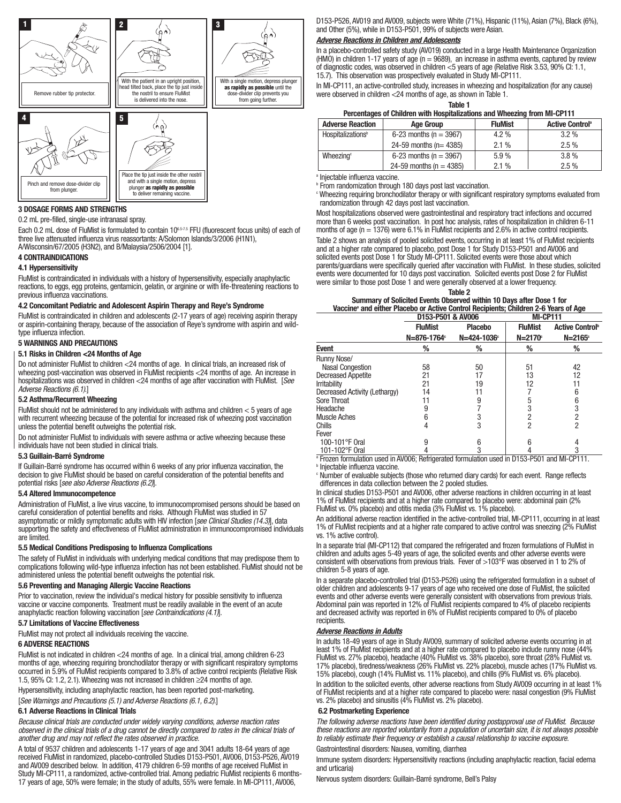

#### **3 DOSAGE FORMS AND STRENGTHS**

0.2 mL pre-filled, single-use intranasal spray.

Each 0.2 mL dose of FluMist is formulated to contain 106.5-7.5 FFU (fluorescent focus units) of each of three live attenuated influenza virus reassortants: A/Solomon Islands/3/2006 (H1N1), A/Wisconsin/67/2005 (H3N2), and B/Malaysia/2506/2004 [1].

#### **4 CONTRAINDICATIONS**

#### **4.1 Hypersensitivity**

FluMist is contraindicated in individuals with a history of hypersensitivity, especially anaphylactic reactions, to eggs, egg proteins, gentamicin, gelatin, or arginine or with life-threatening reactions to previous influenza vaccinations.

#### **4.2 Concomitant Pediatric and Adolescent Aspirin Therapy and Reye's Syndrome**

FluMist is contraindicated in children and adolescents (2-17 years of age) receiving aspirin therapy or aspirin-containing therapy, because of the association of Reye's syndrome with aspirin and wildtype influenza infection.

#### **5 WARNINGS AND PRECAUTIONS**

#### **5.1 Risks in Children <24 Months of Age**

Do not administer FluMist to children <24 months of age. In clinical trials, an increased risk of wheezing post-vaccination was observed in FluMist recipients <24 months of age. An increase in hospitalizations was observed in children <24 months of age after vaccination with FluMist. [*See Adverse Reactions (6.1)*.]

#### **5.2 Asthma/Recurrent Wheezing**

FluMist should not be administered to any individuals with asthma and children  $<$  5 years of age with recurrent wheezing because of the potential for increased risk of wheezing post vaccination unless the potential benefit outweighs the potential risk.

Do not administer FluMist to individuals with severe asthma or active wheezing because these individuals have not been studied in clinical trials.

#### **5.3 Guillain-Barré Syndrome**

If Guillain-Barré syndrome has occurred within 6 weeks of any prior influenza vaccination, the decision to give FluMist should be based on careful consideration of the potential benefits and potential risks [*see also Adverse Reactions (6.2)*].

#### **5.4 Altered Immunocompetence**

Administration of FluMist, a live virus vaccine, to immunocompromised persons should be based on careful consideration of potential benefits and risks. Although FluMist was studied in 57 asymptomatic or mildly symptomatic adults with HIV infection [*see Clinical Studies (14.3)*], data supporting the safety and effectiveness of FluMist administration in immunocompromised individuals are limited.

#### **5.5 Medical Conditions Predisposing to Influenza Complications**

The safety of FluMist in individuals with underlying medical conditions that may predispose them to complications following wild-type influenza infection has not been established. FluMist should not be administered unless the potential benefit outweighs the potential risk.

#### **5.6 Preventing and Managing Allergic Vaccine Reactions**

Prior to vaccination, review the individual's medical history for possible sensitivity to influenza vaccine or vaccine components. Treatment must be readily available in the event of an acute anaphylactic reaction following vaccination [*see Contraindications (4.1)*].

### **5.7 Limitations of Vaccine Effectiveness**

FluMist may not protect all individuals receiving the vaccine.

#### **6 ADVERSE REACTIONS**

FluMist is not indicated in children <24 months of age. In a clinical trial, among children 6-23 months of age, wheezing requiring bronchodilator therapy or with significant respiratory symptoms occurred in 5.9% of FluMist recipients compared to 3.8% of active control recipients (Relative Risk 1.5, 95% CI: 1.2, 2.1). Wheezing was not increased in children ≥24 months of age.

Hypersensitivity, including anaphylactic reaction, has been reported post-marketing.

[*See Warnings and Precautions (5.1) and Adverse Reactions (6.1, 6.2)*.]

#### **6.1 Adverse Reactions in Clinical Trials**

*Because clinical trials are conducted under widely varying conditions, adverse reaction rates observed in the clinical trials of a drug cannot be directly compared to rates in the clinical trials of another drug and may not reflect the rates observed in practice.*

A total of 9537 children and adolescents 1-17 years of age and 3041 adults 18-64 years of age received FluMist in randomized, placebo-controlled Studies D153-P501, AV006, D153-P526, AV019 and AV009 described below. In addition, 4179 children 6-59 months of age received FluMist in Study MI-CP111, a randomized, active-controlled trial. Among pediatric FluMist recipients 6 months-17 years of age, 50% were female; in the study of adults, 55% were female. In MI-CP111, AV006,

D153-P526, AV019 and AV009, subjects were White (71%), Hispanic (11%), Asian (7%), Black (6%), and Other (5%), while in D153-P501, 99% of subjects were Asian.

#### *Adverse Reactions in Children and Adolescents*

In a placebo-controlled safety study (AV019) conducted in a large Health Maintenance Organization (HMO) in children 1-17 years of age  $(n = 9689)$ , an increase in asthma events, captured by review of diagnostic codes, was observed in children <5 years of age (Relative Risk 3.53, 90% CI: 1.1, 15.7). This observation was prospectively evaluated in Study MI-CP111.

In MI-CP111, an active-controlled study, increases in wheezing and hospitalization (for any cause) were observed in children <24 months of age, as shown in Table 1.

| ٠<br>٠<br>× |  |
|-------------|--|
|-------------|--|

### **Percentages of Children with Hospitalizations and Wheezing from MI-CP111**

| <u>. Urbonimyoo of Onimi on With Hoophunkutono unu Whoching Hond Mill Of The</u> |                             |                |                                    |  |  |  |  |
|----------------------------------------------------------------------------------|-----------------------------|----------------|------------------------------------|--|--|--|--|
| <b>Adverse Reaction</b>                                                          | <b>Age Group</b>            | <b>FluMist</b> | <b>Active Control</b> <sup>®</sup> |  |  |  |  |
| Hospitalizations <sup>b</sup>                                                    | 6-23 months ( $n = 3967$ )  | $4.2\%$        | $3.2\%$                            |  |  |  |  |
|                                                                                  | 24-59 months ( $n = 4385$ ) | 2.1%           | 2.5%                               |  |  |  |  |
| Wheezing <sup>c</sup>                                                            | 6-23 months ( $n = 3967$ )  | 5.9%           | $3.8\%$                            |  |  |  |  |
|                                                                                  | 24-59 months ( $n = 4385$ ) | 2.1%           | $2.5\%$                            |  |  |  |  |

<sup>a</sup> Injectable influenza vaccine.

**P From randomization through 180 days post last vaccination.** 

<sup>c</sup> Wheezing requiring bronchodilator therapy or with significant respiratory symptoms evaluated from randomization through 42 days post last vaccination.

Most hospitalizations observed were gastrointestinal and respiratory tract infections and occurred more than 6 weeks post vaccination. In post hoc analysis, rates of hospitalization in children 6-11 months of age ( $n = 1376$ ) were 6.1% in FluMist recipients and 2.6% in active control recipients. Table 2 shows an analysis of pooled solicited events, occurring in at least 1% of FluMist recipients and at a higher rate compared to placebo, post Dose 1 for Study D153-P501 and AV006 and solicited events post Dose 1 for Study MI-CP111. Solicited events were those about which parents/guardians were specifically queried after vaccination with FluMist. In these studies, solicited events were documented for 10 days post vaccination. Solicited events post Dose 2 for FluMist were similar to those post Dose 1 and were generally observed at a lower frequency.

| Table 2                                                                                         |                 |
|-------------------------------------------------------------------------------------------------|-----------------|
| Summary of Solicited Events Observed within 10 Days after Dose 1 for                            |                 |
| Vaccine <sup>®</sup> and either Placebo or Active Control Recipients; Children 2-6 Years of Age |                 |
| D153-P501 & AV006                                                                               | <b>MI-CP111</b> |

|                               | <b>DIJJ-I JUI 0. AVUUU</b>                |                                           | 111-VL 11                    |                                                  |  |
|-------------------------------|-------------------------------------------|-------------------------------------------|------------------------------|--------------------------------------------------|--|
|                               | <b>FluMist</b><br>N=876-1764 <sup>c</sup> | <b>Placebo</b><br>N=424-1036 <sup>c</sup> | <b>FluMist</b><br>$N = 2170$ | <b>Active Control</b> <sup>b</sup><br>$N=2165$ ° |  |
| <b>Event</b>                  | ℅                                         | %                                         | %                            | ℅                                                |  |
| Runny Nose/                   |                                           |                                           |                              |                                                  |  |
| <b>Nasal Congestion</b>       | 58                                        | 50                                        | 51                           | 42                                               |  |
| <b>Decreased Appetite</b>     | 21                                        | 17                                        | 13                           | 12                                               |  |
| <b>Irritability</b>           | 21                                        | 19                                        | 12                           | 11                                               |  |
| Decreased Activity (Lethargy) | 14                                        |                                           |                              | 6                                                |  |
| Sore Throat                   | 11                                        | 9                                         | 5                            | 6                                                |  |
| Headache                      | 9                                         |                                           |                              |                                                  |  |
| Muscle Aches                  | 6                                         | 3                                         |                              |                                                  |  |
| Chills                        | 4                                         | 3                                         | 2                            |                                                  |  |
| Fever                         |                                           |                                           |                              |                                                  |  |
| 100-101°F Oral                | 9                                         | 6                                         | հ                            | 4                                                |  |
| 101-102°F Oral                |                                           | 3                                         |                              | 3                                                |  |

<sup>a</sup> Frozen formulation used in AV006; Refrigerated formulation used in D153-P501 and MI-CP111. **b** Injectable influenza vaccine.

<sup>c</sup> Number of evaluable subjects (those who returned diary cards) for each event. Range reflects differences in data collection between the 2 pooled studies.

In clinical studies D153-P501 and AV006, other adverse reactions in children occurring in at least 1% of FluMist recipients and at a higher rate compared to placebo were: abdominal pain (2% FluMist vs. 0% placebo) and otitis media (3% FluMist vs. 1% placebo).

An additional adverse reaction identified in the active-controlled trial, MI-CP111, occurring in at least 1% of FluMist recipients and at a higher rate compared to active control was sneezing (2% FluMist vs. 1% active control).

In a separate trial (MI-CP112) that compared the refrigerated and frozen formulations of FluMist in children and adults ages 5-49 years of age, the solicited events and other adverse events were consistent with observations from previous trials. Fever of >103°F was observed in 1 to 2% of children 5-8 years of age.

In a separate placebo-controlled trial (D153-P526) using the refrigerated formulation in a subset of older children and adolescents 9-17 years of age who received one dose of FluMist, the solicited events and other adverse events were generally consistent with observations from previous trials. Abdominal pain was reported in 12% of FluMist recipients compared to 4% of placebo recipients and decreased activity was reported in 6% of FluMist recipients compared to 0% of placebo recipients.

#### *Adverse Reactions in Adults*

In adults 18-49 years of age in Study AV009, summary of solicited adverse events occurring in at least 1% of FluMist recipients and at a higher rate compared to placebo include runny nose (44% FluMist vs. 27% placebo), headache (40% FluMist vs. 38% placebo), sore throat (28% FluMist vs. 17% placebo), tiredness/weakness (26% FluMist vs. 22% placebo), muscle aches (17% FluMist vs. 15% placebo), cough (14% FluMist vs. 11% placebo), and chills (9% FluMist vs. 6% placebo).

In addition to the solicited events, other adverse reactions from Study AV009 occurring in at least 1% of FluMist recipients and at a higher rate compared to placebo were: nasal congestion (9% FluMist vs. 2% placebo) and sinusitis (4% FluMist vs. 2% placebo).

#### **6.2 Postmarketing Experience**

*The following adverse reactions have been identified during postapproval use of FluMist. Because these reactions are reported voluntarily from a population of uncertain size, it is not always possible to reliably estimate their frequency or establish a causal relationship to vaccine exposure.*

#### Gastrointestinal disorders: Nausea, vomiting, diarrhea

Immune system disorders: Hypersensitivity reactions (including anaphylactic reaction, facial edema and urticaria)

Nervous system disorders: Guillain-Barré syndrome, Bell's Palsy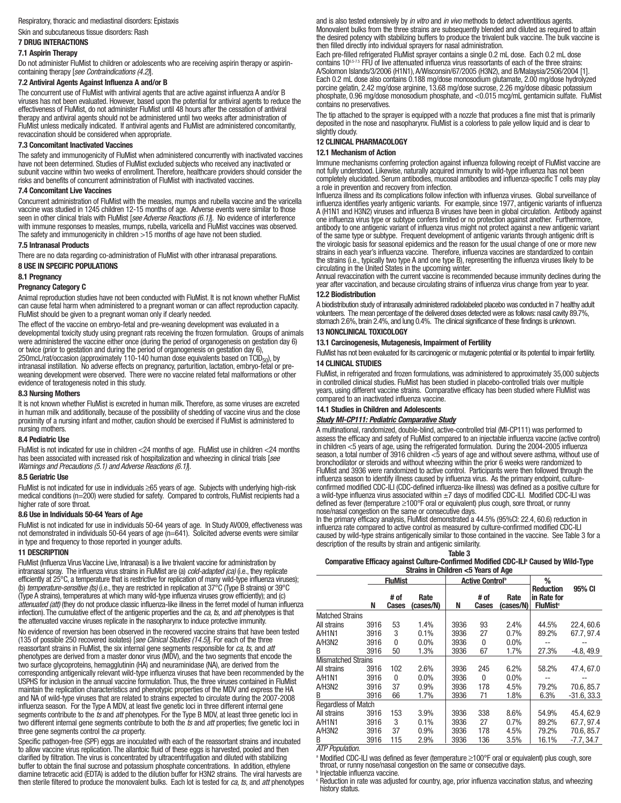# Respiratory, thoracic and mediastinal disorders: Epistaxis

Skin and subcutaneous tissue disorders: Rash

#### **7 DRUG INTERACTIONS 7.1 Aspirin Therapy**

Do not administer FluMist to children or adolescents who are receiving aspirin therapy or aspirincontaining therapy [*see Contraindications (4.2)*].

#### **7.2 Antiviral Agents Against Influenza A and/or B**

The concurrent use of FluMist with antiviral agents that are active against influenza A and/or B viruses has not been evaluated. However, based upon the potential for antiviral agents to reduce the effectiveness of FluMist, do not administer FluMist until 48 hours after the cessation of antiviral therapy and antiviral agents should not be administered until two weeks after administration of FluMist unless medically indicated. If antiviral agents and FluMist are administered concomitantly, revaccination should be considered when appropriate.

### **7.3 Concomitant Inactivated Vaccines**

The safety and immunogenicity of FluMist when administered concurrently with inactivated vaccines have not been determined. Studies of FluMist excluded subjects who received any inactivated or subunit vaccine within two weeks of enrollment. Therefore, healthcare providers should consider the risks and benefits of concurrent administration of FluMist with inactivated vaccines.

#### **7.4 Concomitant Live Vaccines**

Concurrent administration of FluMist with the measles, mumps and rubella vaccine and the varicella vaccine was studied in 1245 children 12-15 months of age. Adverse events were similar to those seen in other clinical trials with FluMist [*see Adverse Reactions (6.1)*]. No evidence of interference with immune responses to measles, mumps, rubella, varicella and FluMist vaccines was observed. The safety and immunogenicity in children >15 months of age have not been studied.

#### **7.5 Intranasal Products**

There are no data regarding co-administration of FluMist with other intranasal preparations.

### **8 USE IN SPECIFIC POPULATIONS**

**8.1 Pregnancy**

### **Pregnancy Category C**

Animal reproduction studies have not been conducted with FluMist. It is not known whether FluMist can cause fetal harm when administered to a pregnant woman or can affect reproduction capacity. FluMist should be given to a pregnant woman only if clearly needed.

The effect of the vaccine on embryo-fetal and pre-weaning development was evaluated in a developmental toxicity study using pregnant rats receiving the frozen formulation. Groups of animals were administered the vaccine either once (during the period of organogenesis on gestation day 6) or twice (prior to gestation and during the period of organogenesis on gestation day 6), 250mcL/rat/occasion (approximately 110-140 human dose equivalents based on  $\overline{T}CD_{50}$ ), by intranasal instillation. No adverse effects on pregnancy, parturition, lactation, embryo-fetal or preweaning development were observed. There were no vaccine related fetal malformations or other evidence of teratogenesis noted in this study.

#### **8.3 Nursing Mothers**

It is not known whether FluMist is excreted in human milk. Therefore, as some viruses are excreted in human milk and additionally, because of the possibility of shedding of vaccine virus and the close proximity of a nursing infant and mother, caution should be exercised if FluMist is administered to nursing mothers.

### **8.4 Pediatric Use**

FluMist is not indicated for use in children <24 months of age. FluMist use in children <24 months has been associated with increased risk of hospitalization and wheezing in clinical trials [*see Warnings and Precautions (5.1) and Adverse Reactions (6.1)*].

#### **8.5 Geriatric Use**

FluMist is not indicated for use in individuals ≥65 years of age. Subjects with underlying high-risk medical conditions (n=200) were studied for safety. Compared to controls, FluMist recipients had a higher rate of sore throat.

#### **8.6 Use in Individuals 50-64 Years of Age**

FluMist is not indicated for use in individuals 50-64 years of age. In Study AV009, effectiveness was not demonstrated in individuals 50-64 years of age (n=641). Solicited adverse events were similar in type and frequency to those reported in younger adults.

#### **11 DESCRIPTION**

FluMist (Influenza Virus Vaccine Live, Intranasal) is a live trivalent vaccine for administration by intranasal spray. The influenza virus strains in FluMist are (a) *cold-adapted (ca)* (i.e., they replicate efficiently at 25°C, a temperature that is restrictive for replication of many wild-type influenza viruses); (b) *temperature-sensitive (ts)* (i.e., they are restricted in replication at 37°C (Type B strains) or 39°C (Type A strains), temperatures at which many wild-type influenza viruses grow efficiently); and (c) *attenuated (att)* (they do not produce classic influenza-like illness in the ferret model of human influenza infection). The cumulative effect of the antigenic properties and the *ca, ts,* and *att* phenotypes is that the attenuated vaccine viruses replicate in the nasopharynx to induce protective immunity.

No evidence of reversion has been observed in the recovered vaccine strains that have been tested (135 of possible 250 recovered isolates) [*see Clinical Studies (14.5)*]. For each of the three reassortant strains in FluMist, the six internal gene segments responsible for *ca, ts,* and *att* phenotypes are derived from a master donor virus (MDV), and the two segments that encode the two surface glycoproteins, hemagglutinin (HA) and neuraminidase (NA), are derived from the corresponding antigenically relevant wild-type influenza viruses that have been recommended by the USPHS for inclusion in the annual vaccine formulation. Thus, the three viruses contained in FluMist maintain the replication characteristics and phenotypic properties of the MDV and express the HA and NA of wild-type viruses that are related to strains expected to circulate during the 2007-2008 influenza season. For the Type A MDV, at least five genetic loci in three different internal gene segments contribute to the *ts* and *att* phenotypes. For the Type B MDV, at least three genetic loci in two different internal gene segments contribute to both the *ts* and *att* properties; five genetic loci in three gene segments control the *ca* property.

Specific pathogen-free (SPF) eggs are inoculated with each of the reassortant strains and incubated to allow vaccine virus replication. The allantoic fluid of these eggs is harvested, pooled and then clarified by filtration. The virus is concentrated by ultracentrifugation and diluted with stabilizing buffer to obtain the final sucrose and potassium phosphate concentrations. In addition, ethylene diamine tetracetic acid (EDTA) is added to the dilution buffer for H3N2 strains. The viral harvests are then sterile filtered to produce the monovalent bulks. Each lot is tested for *ca, ts,* and *att* phenotypes and is also tested extensively by *in vitro* and *in vivo* methods to detect adventitious agents. Monovalent bulks from the three strains are subsequently blended and diluted as required to attain the desired potency with stabilizing buffers to produce the trivalent bulk vaccine. The bulk vaccine is then filled directly into individual sprayers for nasal administration.

Each pre-filled refrigerated FluMist sprayer contains a single 0.2 mL dose. Each 0.2 mL dose contains 10<sup>6,5-7,5</sup> FFU of live attenuated influenza virus reassortants of each of the three strains: A/Solomon Islands/3/2006 (H1N1), A/Wisconsin/67/2005 (H3N2), and B/Malaysia/2506/2004 [1]. Each 0.2 mL dose also contains 0.188 mg/dose monosodium glutamate, 2.00 mg/dose hydrolyzed porcine gelatin, 2.42 mg/dose arginine, 13.68 mg/dose sucrose, 2.26 mg/dose dibasic potassium phosphate, 0.96 mg/dose monosodium phosphate, and <0.015 mcg/mL gentamicin sulfate. FluMist contains no preservatives.

The tip attached to the sprayer is equipped with a nozzle that produces a fine mist that is primarily deposited in the nose and nasopharynx. FluMist is a colorless to pale yellow liquid and is clear to slightly cloudy.

## **12 CLINICAL PHARMACOLOGY**

### **12.1 Mechanism of Action**

Immune mechanisms conferring protection against influenza following receipt of FluMist vaccine are not fully understood. Likewise, naturally acquired immunity to wild-type influenza has not been completely elucidated. Serum antibodies, mucosal antibodies and influenza-specific T cells may play a role in prevention and recovery from infection.

Influenza illness and its complications follow infection with influenza viruses. Global surveillance of influenza identifies yearly antigenic variants. For example, since 1977, antigenic variants of influenza A (H1N1 and H3N2) viruses and influenza B viruses have been in global circulation. Antibody against one influenza virus type or subtype confers limited or no protection against another. Furthermore, antibody to one antigenic variant of influenza virus might not protect against a new antigenic variant of the same type or subtype. Frequent development of antigenic variants through antigenic drift is the virologic basis for seasonal epidemics and the reason for the usual change of one or more new strains in each year's influenza vaccine. Therefore, influenza vaccines are standardized to contain the strains (i.e., typically two type A and one type B), representing the influenza viruses likely to be circulating in the United States in the upcoming winter.

Annual revaccination with the current vaccine is recommended because immunity declines during the year after vaccination, and because circulating strains of influenza virus change from year to year. **12.2 Biodistribution**

A biodistribution study of intranasally administered radiolabeled placebo was conducted in 7 healthy adult volunteers. The mean percentage of the delivered doses detected were as follows: nasal cavity 89.7%, stomach 2.6%, brain 2.4%, and lung 0.4%. The clinical significance of these findings is unknown.

#### **13 NONCLINICAL TOXICOLOGY**

#### **13.1 Carcinogenesis, Mutagenesis, Impairment of Fertility**

FluMist has not been evaluated for its carcinogenic or mutagenic potential or its potential to impair fertility. **14 CLINICAL STUDIES**

FluMist, in refrigerated and frozen formulations, was administered to approximately 35,000 subjects in controlled clinical studies. FluMist has been studied in placebo-controlled trials over multiple years, using different vaccine strains. Comparative efficacy has been studied where FluMist was compared to an inactivated influenza vaccine.

#### **14.1 Studies in Children and Adolescents**

#### *Study MI-CP111: Pediatric Comparative Study*

A multinational, randomized, double-blind, active-controlled trial (MI-CP111) was performed to assess the efficacy and safety of FluMist compared to an injectable influenza vaccine (active control) in children <5 years of age, using the refrigerated formulation. During the 2004-2005 influenza season, a total number of 3916 children <5 years of age and without severe asthma, without use of bronchodilator or steroids and without wheezing within the prior 6 weeks were randomized to FluMist and 3936 were randomized to active control. Participants were then followed through the influenza season to identify illness caused by influenza virus. As the primary endpoint, cultureconfirmed modified CDC-ILI (CDC-defined influenza-like illness) was defined as a positive culture for a wild-type influenza virus associated within ±7 days of modified CDC-ILI. Modified CDC-ILI was defined as fever (temperature ≥100°F oral or equivalent) plus cough, sore throat, or runny nose/nasal congestion on the same or consecutive days.

In the primary efficacy analysis, FluMist demonstrated a 44.5% (95%CI: 22.4, 60.6) reduction in influenza rate compared to active control as measured by culture-confirmed modified CDC-ILI caused by wild-type strains antigenically similar to those contained in the vaccine. See Table 3 for a description of the results by strain and antigenic similarity.

#### **Table 3**  Comparative Efficacy against Culture-Confirmed Modified CDC-ILI<sup>®</sup> Caused by Wild-Type **Strains in Children <5 Years of Age**

|                            | <b>FluMist</b> |               | <b>Active Control</b> <sup>b</sup> |      |               | %                 |                                                               |               |
|----------------------------|----------------|---------------|------------------------------------|------|---------------|-------------------|---------------------------------------------------------------|---------------|
|                            | N              | # of<br>Cases | Rate<br>(cases/N)                  | Ν    | # of<br>Cases | Rate<br>(cases/N) | <b>Reduction</b><br>in Rate for<br><b>FluMist<sup>c</sup></b> | 95% CI        |
| <b>Matched Strains</b>     |                |               |                                    |      |               |                   |                                                               |               |
| All strains                | 3916           | 53            | 1.4%                               | 3936 | 93            | 2.4%              | 44.5%                                                         | 22.4, 60.6    |
| A/H1N1                     | 3916           | 3             | 0.1%                               | 3936 | 27            | 0.7%              | 89.2%                                                         | 67.7, 97.4    |
| A/H3N2                     | 3916           | 0             | $0.0\%$                            | 3936 | 0             | $0.0\%$           |                                                               |               |
| B                          | 3916           | 50            | 1.3%                               | 3936 | 67            | 1.7%              | 27.3%                                                         | $-4.8, 49.9$  |
| <b>Mismatched Strains</b>  |                |               |                                    |      |               |                   |                                                               |               |
| All strains                | 3916           | 102           | 2.6%                               | 3936 | 245           | 6.2%              | 58.2%                                                         | 47.4, 67.0    |
| A/H1N1                     | 3916           | 0             | $0.0\%$                            | 3936 | 0             | $0.0\%$           |                                                               |               |
| A/H3N2                     | 3916           | 37            | 0.9%                               | 3936 | 178           | 4.5%              | 79.2%                                                         | 70.6, 85.7    |
| B                          | 3916           | 66            | 1.7%                               | 3936 | 71            | 1.8%              | 6.3%                                                          | $-31.6, 33.3$ |
| <b>Regardless of Match</b> |                |               |                                    |      |               |                   |                                                               |               |
| All strains                | 3916           | 153           | 3.9%                               | 3936 | 338           | 8.6%              | 54.9%                                                         | 45.4, 62.9    |
| A/H1N1                     | 3916           | 3             | 0.1%                               | 3936 | 27            | 0.7%              | 89.2%                                                         | 67.7.97.4     |
| A/H3N2                     | 3916           | 37            | 0.9%                               | 3936 | 178           | 4.5%              | 79.2%                                                         | 70.6, 85.7    |
| В                          | 3916           | 115           | 2.9%                               | 3936 | 136           | 3.5%              | 16.1%                                                         | $-7.7, 34.7$  |

*ATP Population.*

<sup>a</sup> Modified CDC-ILI was defined as fever (temperature ≥100°F oral or equivalent) plus cough, sore throat, or runny nose/nasal congestion on the same or consecutive days.

**h** Injectable influenza vaccine.

<sup>c</sup> Reduction in rate was adjusted for country, age, prior influenza vaccination status, and wheezing history status.